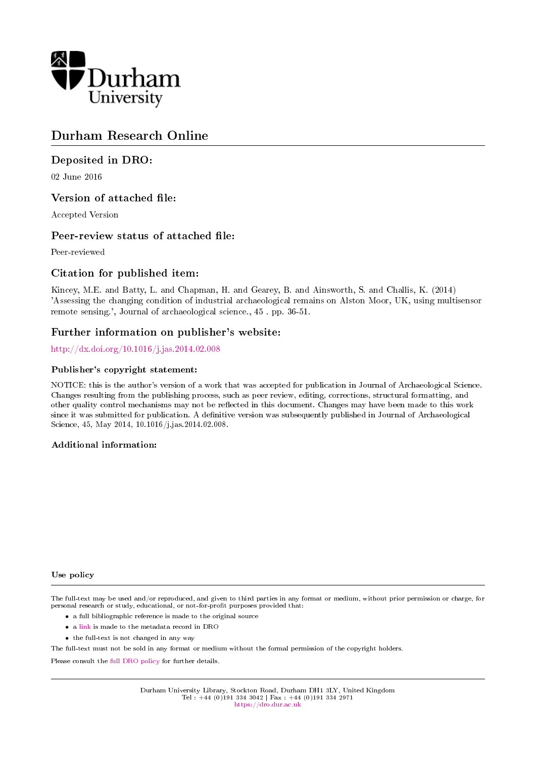

# Durham Research Online

# Deposited in DRO:

02 June 2016

# Version of attached file:

Accepted Version

# Peer-review status of attached file:

Peer-reviewed

# Citation for published item:

Kincey, M.E. and Batty, L. and Chapman, H. and Gearey, B. and Ainsworth, S. and Challis, K. (2014) 'Assessing the changing condition of industrial archaeological remains on Alston Moor, UK, using multisensor remote sensing.', Journal of archaeological science., 45 . pp. 36-51.

# Further information on publisher's website:

<http://dx.doi.org/10.1016/j.jas.2014.02.008>

### Publisher's copyright statement:

NOTICE: this is the author's version of a work that was accepted for publication in Journal of Archaeological Science. Changes resulting from the publishing process, such as peer review, editing, corrections, structural formatting, and other quality control mechanisms may not be reected in this document. Changes may have been made to this work since it was submitted for publication. A denitive version was subsequently published in Journal of Archaeological Science, 45, May 2014, 10.1016/j.jas.2014.02.008.

### Additional information:

#### Use policy

The full-text may be used and/or reproduced, and given to third parties in any format or medium, without prior permission or charge, for personal research or study, educational, or not-for-profit purposes provided that:

- a full bibliographic reference is made to the original source
- a [link](http://dro.dur.ac.uk/18923/) is made to the metadata record in DRO
- the full-text is not changed in any way

The full-text must not be sold in any format or medium without the formal permission of the copyright holders.

Please consult the [full DRO policy](https://dro.dur.ac.uk/policies/usepolicy.pdf) for further details.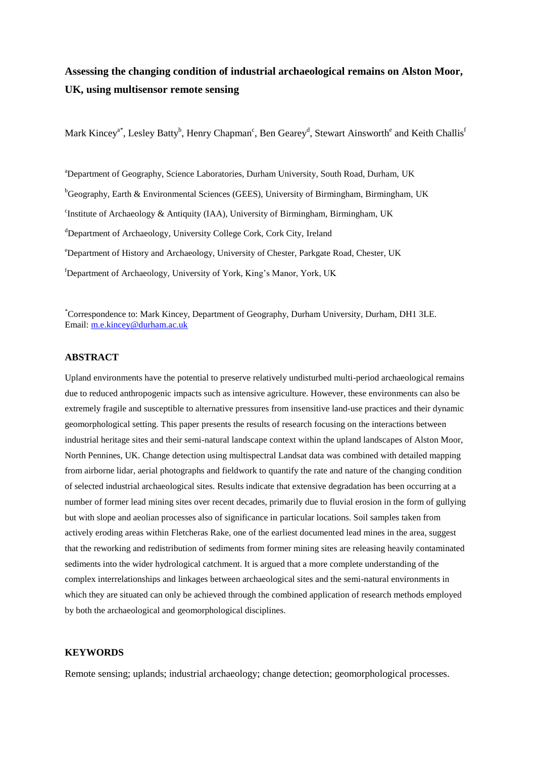# **Assessing the changing condition of industrial archaeological remains on Alston Moor, UK, using multisensor remote sensing**

Mark Kincey<sup>a\*</sup>, Lesley Batty<sup>b</sup>, Henry Chapman<sup>c</sup>, Ben Gearey<sup>d</sup>, Stewart Ainsworth<sup>e</sup> and Keith Challis<sup>t</sup>

<sup>a</sup>Department of Geography, Science Laboratories, Durham University, South Road, Durham, UK  $bG$  Geography, Earth & Environmental Sciences (GEES), University of Birmingham, Birmingham, UK <sup>c</sup>Institute of Archaeology & Antiquity (IAA), University of Birmingham, Birmingham, UK <sup>d</sup>Department of Archaeology, University College Cork, Cork City, Ireland <sup>e</sup>Department of History and Archaeology, University of Chester, Parkgate Road, Chester, UK <sup>f</sup>Department of Archaeology, University of York, King's Manor, York, UK

\*Correspondence to: Mark Kincey, Department of Geography, Durham University, Durham, DH1 3LE. Email: [m.e.kincey@durham.ac.uk](mailto:m.e.kincey@durham.ac.uk)

## **ABSTRACT**

Upland environments have the potential to preserve relatively undisturbed multi-period archaeological remains due to reduced anthropogenic impacts such as intensive agriculture. However, these environments can also be extremely fragile and susceptible to alternative pressures from insensitive land-use practices and their dynamic geomorphological setting. This paper presents the results of research focusing on the interactions between industrial heritage sites and their semi-natural landscape context within the upland landscapes of Alston Moor, North Pennines, UK. Change detection using multispectral Landsat data was combined with detailed mapping from airborne lidar, aerial photographs and fieldwork to quantify the rate and nature of the changing condition of selected industrial archaeological sites. Results indicate that extensive degradation has been occurring at a number of former lead mining sites over recent decades, primarily due to fluvial erosion in the form of gullying but with slope and aeolian processes also of significance in particular locations. Soil samples taken from actively eroding areas within Fletcheras Rake, one of the earliest documented lead mines in the area, suggest that the reworking and redistribution of sediments from former mining sites are releasing heavily contaminated sediments into the wider hydrological catchment. It is argued that a more complete understanding of the complex interrelationships and linkages between archaeological sites and the semi-natural environments in which they are situated can only be achieved through the combined application of research methods employed by both the archaeological and geomorphological disciplines.

## **KEYWORDS**

Remote sensing; uplands; industrial archaeology; change detection; geomorphological processes.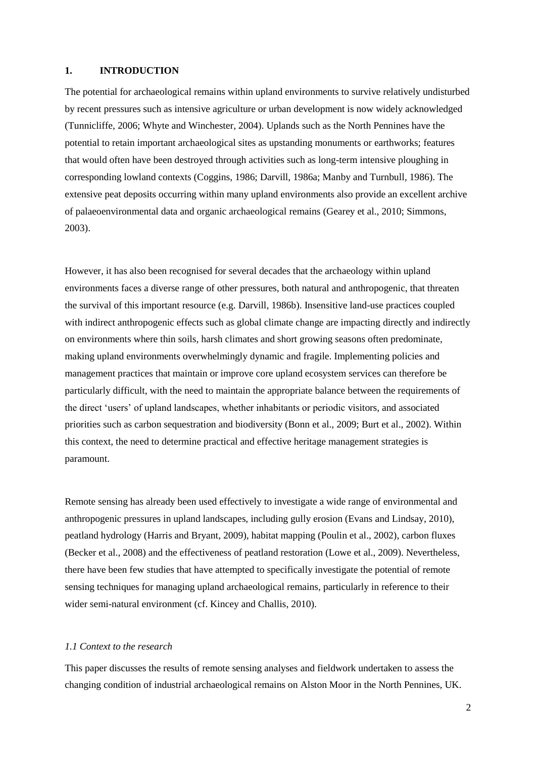## **1. INTRODUCTION**

The potential for archaeological remains within upland environments to survive relatively undisturbed by recent pressures such as intensive agriculture or urban development is now widely acknowledged (Tunnicliffe, 2006; Whyte and Winchester, 2004). Uplands such as the North Pennines have the potential to retain important archaeological sites as upstanding monuments or earthworks; features that would often have been destroyed through activities such as long-term intensive ploughing in corresponding lowland contexts (Coggins, 1986; Darvill, 1986a; Manby and Turnbull, 1986). The extensive peat deposits occurring within many upland environments also provide an excellent archive of palaeoenvironmental data and organic archaeological remains (Gearey et al., 2010; Simmons, 2003).

However, it has also been recognised for several decades that the archaeology within upland environments faces a diverse range of other pressures, both natural and anthropogenic, that threaten the survival of this important resource (e.g. Darvill, 1986b). Insensitive land-use practices coupled with indirect anthropogenic effects such as global climate change are impacting directly and indirectly on environments where thin soils, harsh climates and short growing seasons often predominate, making upland environments overwhelmingly dynamic and fragile. Implementing policies and management practices that maintain or improve core upland ecosystem services can therefore be particularly difficult, with the need to maintain the appropriate balance between the requirements of the direct 'users' of upland landscapes, whether inhabitants or periodic visitors, and associated priorities such as carbon sequestration and biodiversity (Bonn et al., 2009; Burt et al., 2002). Within this context, the need to determine practical and effective heritage management strategies is paramount.

Remote sensing has already been used effectively to investigate a wide range of environmental and anthropogenic pressures in upland landscapes, including gully erosion (Evans and Lindsay, 2010), peatland hydrology (Harris and Bryant, 2009), habitat mapping (Poulin et al., 2002), carbon fluxes (Becker et al., 2008) and the effectiveness of peatland restoration (Lowe et al., 2009). Nevertheless, there have been few studies that have attempted to specifically investigate the potential of remote sensing techniques for managing upland archaeological remains, particularly in reference to their wider semi-natural environment (cf. Kincey and Challis, 2010).

## *1.1 Context to the research*

This paper discusses the results of remote sensing analyses and fieldwork undertaken to assess the changing condition of industrial archaeological remains on Alston Moor in the North Pennines, UK.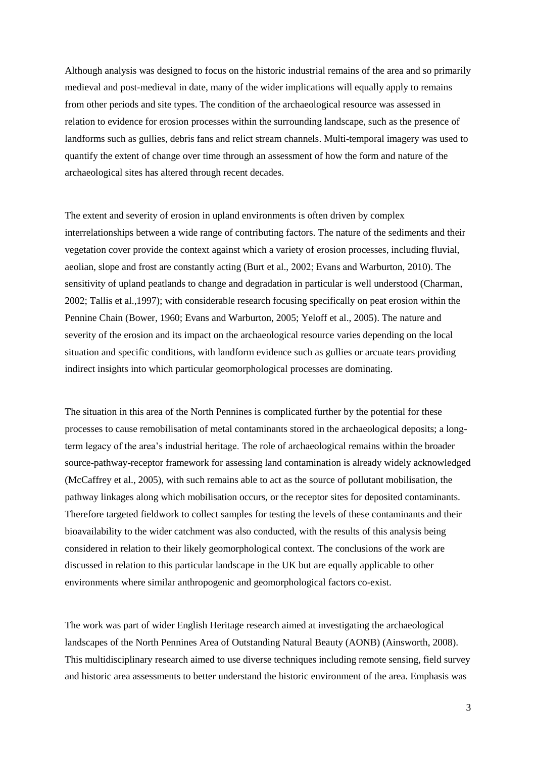Although analysis was designed to focus on the historic industrial remains of the area and so primarily medieval and post-medieval in date, many of the wider implications will equally apply to remains from other periods and site types. The condition of the archaeological resource was assessed in relation to evidence for erosion processes within the surrounding landscape, such as the presence of landforms such as gullies, debris fans and relict stream channels. Multi-temporal imagery was used to quantify the extent of change over time through an assessment of how the form and nature of the archaeological sites has altered through recent decades.

The extent and severity of erosion in upland environments is often driven by complex interrelationships between a wide range of contributing factors. The nature of the sediments and their vegetation cover provide the context against which a variety of erosion processes, including fluvial, aeolian, slope and frost are constantly acting (Burt et al., 2002; Evans and Warburton, 2010). The sensitivity of upland peatlands to change and degradation in particular is well understood (Charman, 2002; Tallis et al.,1997); with considerable research focusing specifically on peat erosion within the Pennine Chain (Bower, 1960; Evans and Warburton, 2005; Yeloff et al., 2005). The nature and severity of the erosion and its impact on the archaeological resource varies depending on the local situation and specific conditions, with landform evidence such as gullies or arcuate tears providing indirect insights into which particular geomorphological processes are dominating.

The situation in this area of the North Pennines is complicated further by the potential for these processes to cause remobilisation of metal contaminants stored in the archaeological deposits; a longterm legacy of the area's industrial heritage. The role of archaeological remains within the broader source-pathway-receptor framework for assessing land contamination is already widely acknowledged (McCaffrey et al., 2005), with such remains able to act as the source of pollutant mobilisation, the pathway linkages along which mobilisation occurs, or the receptor sites for deposited contaminants. Therefore targeted fieldwork to collect samples for testing the levels of these contaminants and their bioavailability to the wider catchment was also conducted, with the results of this analysis being considered in relation to their likely geomorphological context. The conclusions of the work are discussed in relation to this particular landscape in the UK but are equally applicable to other environments where similar anthropogenic and geomorphological factors co-exist.

The work was part of wider English Heritage research aimed at investigating the archaeological landscapes of the North Pennines Area of Outstanding Natural Beauty (AONB) (Ainsworth, 2008). This multidisciplinary research aimed to use diverse techniques including remote sensing, field survey and historic area assessments to better understand the historic environment of the area. Emphasis was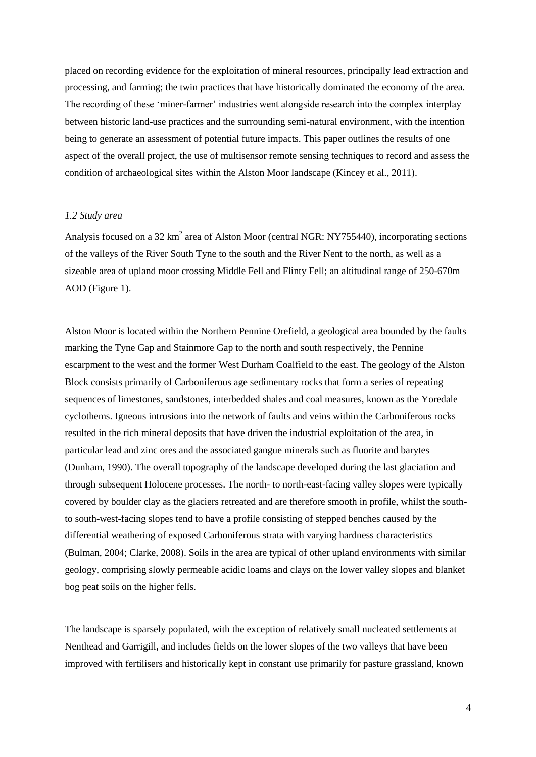placed on recording evidence for the exploitation of mineral resources, principally lead extraction and processing, and farming; the twin practices that have historically dominated the economy of the area. The recording of these 'miner-farmer' industries went alongside research into the complex interplay between historic land-use practices and the surrounding semi-natural environment, with the intention being to generate an assessment of potential future impacts. This paper outlines the results of one aspect of the overall project, the use of multisensor remote sensing techniques to record and assess the condition of archaeological sites within the Alston Moor landscape (Kincey et al., 2011).

### *1.2 Study area*

Analysis focused on a 32  $km^2$  area of Alston Moor (central NGR: NY755440), incorporating sections of the valleys of the River South Tyne to the south and the River Nent to the north, as well as a sizeable area of upland moor crossing Middle Fell and Flinty Fell; an altitudinal range of 250-670m AOD (Figure 1).

Alston Moor is located within the Northern Pennine Orefield, a geological area bounded by the faults marking the Tyne Gap and Stainmore Gap to the north and south respectively, the Pennine escarpment to the west and the former West Durham Coalfield to the east. The geology of the Alston Block consists primarily of Carboniferous age sedimentary rocks that form a series of repeating sequences of limestones, sandstones, interbedded shales and coal measures, known as the Yoredale cyclothems. Igneous intrusions into the network of faults and veins within the Carboniferous rocks resulted in the rich mineral deposits that have driven the industrial exploitation of the area, in particular lead and zinc ores and the associated gangue minerals such as fluorite and barytes (Dunham, 1990). The overall topography of the landscape developed during the last glaciation and through subsequent Holocene processes. The north- to north-east-facing valley slopes were typically covered by boulder clay as the glaciers retreated and are therefore smooth in profile, whilst the southto south-west-facing slopes tend to have a profile consisting of stepped benches caused by the differential weathering of exposed Carboniferous strata with varying hardness characteristics (Bulman, 2004; Clarke, 2008). Soils in the area are typical of other upland environments with similar geology, comprising slowly permeable acidic loams and clays on the lower valley slopes and blanket bog peat soils on the higher fells.

The landscape is sparsely populated, with the exception of relatively small nucleated settlements at Nenthead and Garrigill, and includes fields on the lower slopes of the two valleys that have been improved with fertilisers and historically kept in constant use primarily for pasture grassland, known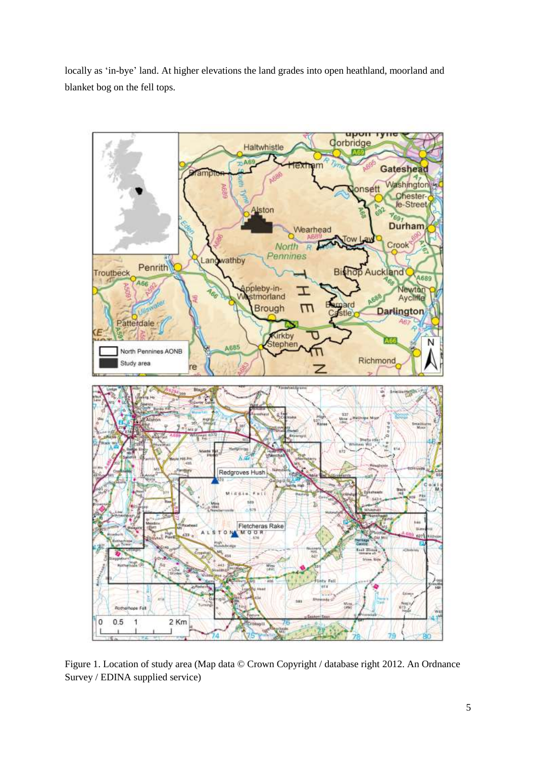locally as 'in-bye' land. At higher elevations the land grades into open heathland, moorland and blanket bog on the fell tops.



Figure 1. Location of study area (Map data © Crown Copyright / database right 2012. An Ordnance Survey / EDINA supplied service)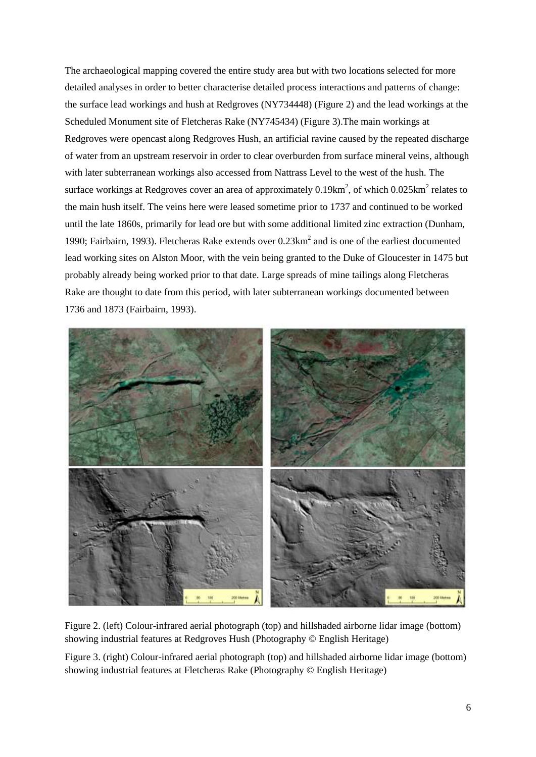The archaeological mapping covered the entire study area but with two locations selected for more detailed analyses in order to better characterise detailed process interactions and patterns of change: the surface lead workings and hush at Redgroves (NY734448) (Figure 2) and the lead workings at the Scheduled Monument site of Fletcheras Rake (NY745434) (Figure 3).The main workings at Redgroves were opencast along Redgroves Hush, an artificial ravine caused by the repeated discharge of water from an upstream reservoir in order to clear overburden from surface mineral veins, although with later subterranean workings also accessed from Nattrass Level to the west of the hush. The surface workings at Redgroves cover an area of approximately  $0.19 \text{km}^2$ , of which  $0.025 \text{km}^2$  relates to the main hush itself. The veins here were leased sometime prior to 1737 and continued to be worked until the late 1860s, primarily for lead ore but with some additional limited zinc extraction (Dunham, 1990; Fairbairn, 1993). Fletcheras Rake extends over 0.23km<sup>2</sup> and is one of the earliest documented lead working sites on Alston Moor, with the vein being granted to the Duke of Gloucester in 1475 but probably already being worked prior to that date. Large spreads of mine tailings along Fletcheras Rake are thought to date from this period, with later subterranean workings documented between 1736 and 1873 (Fairbairn, 1993).



Figure 2. (left) Colour-infrared aerial photograph (top) and hillshaded airborne lidar image (bottom) showing industrial features at Redgroves Hush (Photography © English Heritage)

Figure 3. (right) Colour-infrared aerial photograph (top) and hillshaded airborne lidar image (bottom) showing industrial features at Fletcheras Rake (Photography © English Heritage)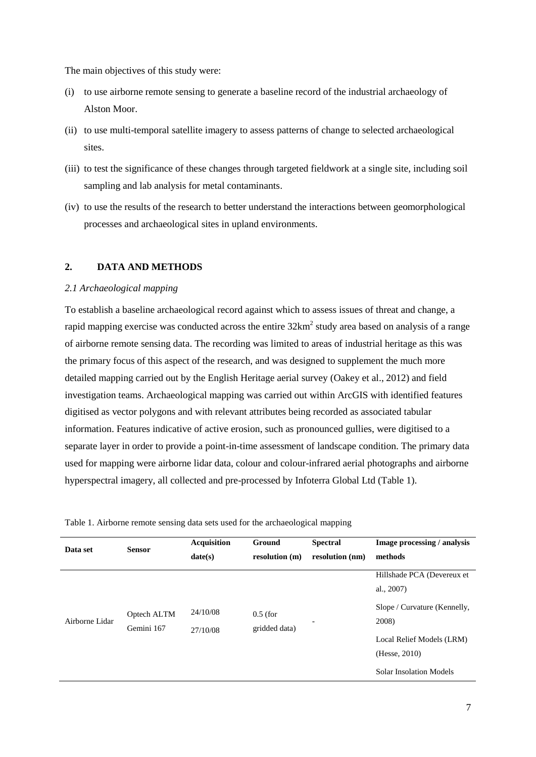The main objectives of this study were:

- (i) to use airborne remote sensing to generate a baseline record of the industrial archaeology of Alston Moor.
- (ii) to use multi-temporal satellite imagery to assess patterns of change to selected archaeological sites.
- (iii) to test the significance of these changes through targeted fieldwork at a single site, including soil sampling and lab analysis for metal contaminants.
- (iv) to use the results of the research to better understand the interactions between geomorphological processes and archaeological sites in upland environments.

## **2. DATA AND METHODS**

#### *2.1 Archaeological mapping*

To establish a baseline archaeological record against which to assess issues of threat and change, a rapid mapping exercise was conducted across the entire  $32 \text{km}^2$  study area based on analysis of a range of airborne remote sensing data. The recording was limited to areas of industrial heritage as this was the primary focus of this aspect of the research, and was designed to supplement the much more detailed mapping carried out by the English Heritage aerial survey (Oakey et al., 2012) and field investigation teams. Archaeological mapping was carried out within ArcGIS with identified features digitised as vector polygons and with relevant attributes being recorded as associated tabular information. Features indicative of active erosion, such as pronounced gullies, were digitised to a separate layer in order to provide a point-in-time assessment of landscape condition. The primary data used for mapping were airborne lidar data, colour and colour-infrared aerial photographs and airborne hyperspectral imagery, all collected and pre-processed by Infoterra Global Ltd (Table 1).

| Data set       | <b>Sensor</b>             | <b>Acquisition</b><br>date(s) | Ground<br>resolution(m)     | <b>Spectral</b><br>resolution (nm) | Image processing / analysis<br>methods      |
|----------------|---------------------------|-------------------------------|-----------------------------|------------------------------------|---------------------------------------------|
| Airborne Lidar | Optech ALTM<br>Gemini 167 | 24/10/08<br>27/10/08          | $0.5$ (for<br>gridded data) | ٠                                  | Hillshade PCA (Devereux et<br>al., $2007$ ) |
|                |                           |                               |                             |                                    | Slope / Curvature (Kennelly,<br>2008)       |
|                |                           |                               |                             |                                    | Local Relief Models (LRM)<br>(Hesse, 2010)  |
|                |                           |                               |                             |                                    | Solar Insolation Models                     |

Table 1. Airborne remote sensing data sets used for the archaeological mapping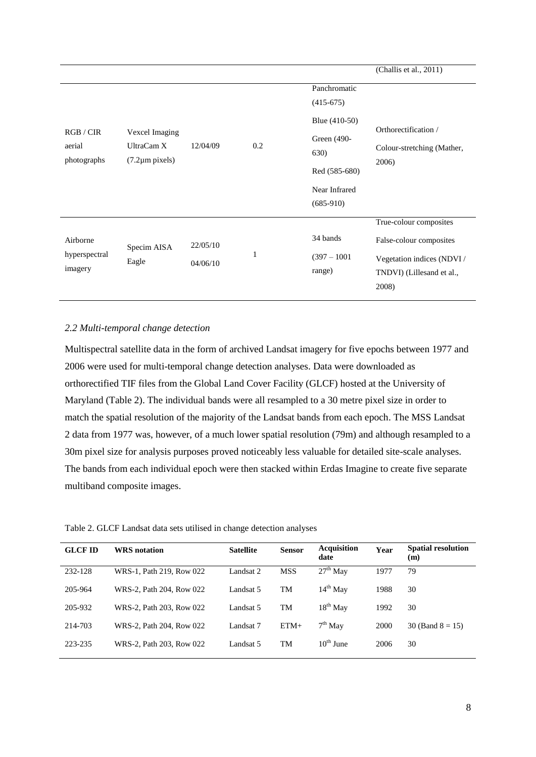|                                      |                                                              |                      |              |                                                                                                                      | (Challis et al., $2011$ )                                                                                             |
|--------------------------------------|--------------------------------------------------------------|----------------------|--------------|----------------------------------------------------------------------------------------------------------------------|-----------------------------------------------------------------------------------------------------------------------|
| RGB / CIR<br>aerial<br>photographs   | Vexcel Imaging<br>UltraCam X<br>$(7.2 \mu m \text{ pixels})$ | 12/04/09             | 0.2          | Panchromatic<br>$(415-675)$<br>Blue (410-50)<br>Green (490-<br>630)<br>Red (585-680)<br>Near Infrared<br>$(685-910)$ | Orthorectification /<br>Colour-stretching (Mather,<br>2006)                                                           |
| Airborne<br>hyperspectral<br>imagery | Specim AISA<br>Eagle                                         | 22/05/10<br>04/06/10 | $\mathbf{1}$ | 34 bands<br>$(397 - 1001)$<br>range)                                                                                 | True-colour composites<br>False-colour composites<br>Vegetation indices (NDVI /<br>TNDVI) (Lillesand et al.,<br>2008) |

## *2.2 Multi-temporal change detection*

Multispectral satellite data in the form of archived Landsat imagery for five epochs between 1977 and 2006 were used for multi-temporal change detection analyses. Data were downloaded as orthorectified TIF files from the Global Land Cover Facility (GLCF) hosted at the University of Maryland (Table 2). The individual bands were all resampled to a 30 metre pixel size in order to match the spatial resolution of the majority of the Landsat bands from each epoch. The MSS Landsat 2 data from 1977 was, however, of a much lower spatial resolution (79m) and although resampled to a 30m pixel size for analysis purposes proved noticeably less valuable for detailed site-scale analyses. The bands from each individual epoch were then stacked within Erdas Imagine to create five separate multiband composite images.

| Table 2. GLCF Landsat data sets utilised in change detection analyses |  |  |  |
|-----------------------------------------------------------------------|--|--|--|
|-----------------------------------------------------------------------|--|--|--|

| <b>GLCF ID</b> | <b>WRS</b> notation      | <b>Satellite</b> | <b>Sensor</b> | Acquisition<br>date   | Year | <b>Spatial resolution</b><br>(m) |
|----------------|--------------------------|------------------|---------------|-----------------------|------|----------------------------------|
| 232-128        | WRS-1, Path 219, Row 022 | Landsat 2        | <b>MSS</b>    | $27th$ May            | 1977 | 79                               |
| 205-964        | WRS-2. Path 204, Row 022 | Landsat 5        | <b>TM</b>     | $14^{th}$ May         | 1988 | 30                               |
| 205-932        | WRS-2. Path 203. Row 022 | Landsat 5        | <b>TM</b>     | $18th$ May            | 1992 | 30                               |
| 214-703        | WRS-2. Path 204, Row 022 | Landsat 7        | $ETM+$        | $7th$ May             | 2000 | 30 (Band $8 = 15$ )              |
| 223-235        | WRS-2, Path 203, Row 022 | Landsat 5        | TM            | $10^{\text{th}}$ June | 2006 | 30                               |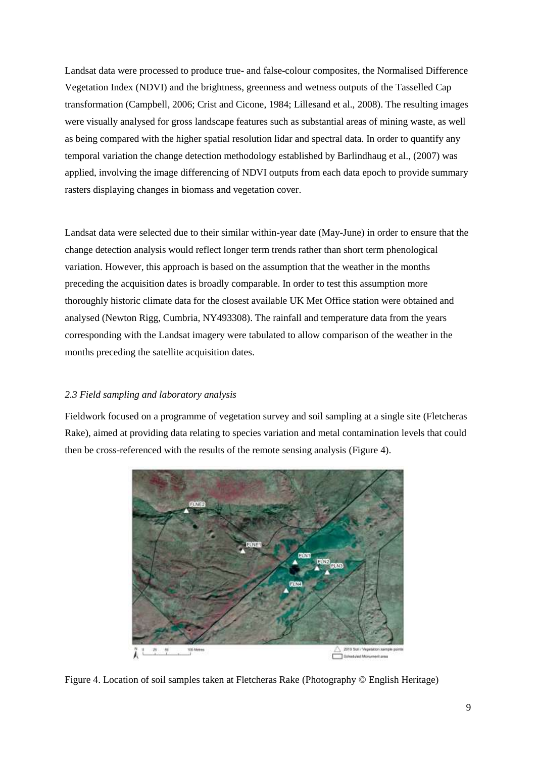Landsat data were processed to produce true- and false-colour composites, the Normalised Difference Vegetation Index (NDVI) and the brightness, greenness and wetness outputs of the Tasselled Cap transformation (Campbell, 2006; Crist and Cicone, 1984; Lillesand et al., 2008). The resulting images were visually analysed for gross landscape features such as substantial areas of mining waste, as well as being compared with the higher spatial resolution lidar and spectral data. In order to quantify any temporal variation the change detection methodology established by Barlindhaug et al., (2007) was applied, involving the image differencing of NDVI outputs from each data epoch to provide summary rasters displaying changes in biomass and vegetation cover.

Landsat data were selected due to their similar within-year date (May-June) in order to ensure that the change detection analysis would reflect longer term trends rather than short term phenological variation. However, this approach is based on the assumption that the weather in the months preceding the acquisition dates is broadly comparable. In order to test this assumption more thoroughly historic climate data for the closest available UK Met Office station were obtained and analysed (Newton Rigg, Cumbria, NY493308). The rainfall and temperature data from the years corresponding with the Landsat imagery were tabulated to allow comparison of the weather in the months preceding the satellite acquisition dates.

## *2.3 Field sampling and laboratory analysis*

Fieldwork focused on a programme of vegetation survey and soil sampling at a single site (Fletcheras Rake), aimed at providing data relating to species variation and metal contamination levels that could then be cross-referenced with the results of the remote sensing analysis (Figure 4).



Figure 4. Location of soil samples taken at Fletcheras Rake (Photography © English Heritage)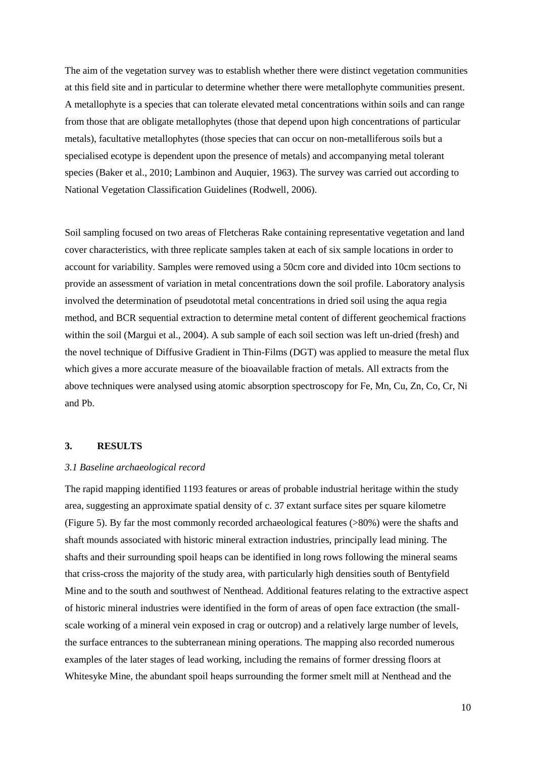The aim of the vegetation survey was to establish whether there were distinct vegetation communities at this field site and in particular to determine whether there were metallophyte communities present. A metallophyte is a species that can tolerate elevated metal concentrations within soils and can range from those that are obligate metallophytes (those that depend upon high concentrations of particular metals), facultative metallophytes (those species that can occur on non-metalliferous soils but a specialised ecotype is dependent upon the presence of metals) and accompanying metal tolerant species (Baker et al., 2010; Lambinon and Auquier, 1963). The survey was carried out according to National Vegetation Classification Guidelines (Rodwell, 2006).

Soil sampling focused on two areas of Fletcheras Rake containing representative vegetation and land cover characteristics, with three replicate samples taken at each of six sample locations in order to account for variability. Samples were removed using a 50cm core and divided into 10cm sections to provide an assessment of variation in metal concentrations down the soil profile. Laboratory analysis involved the determination of pseudototal metal concentrations in dried soil using the aqua regia method, and BCR sequential extraction to determine metal content of different geochemical fractions within the soil (Margui et al., 2004). A sub sample of each soil section was left un-dried (fresh) and the novel technique of Diffusive Gradient in Thin-Films (DGT) was applied to measure the metal flux which gives a more accurate measure of the bioavailable fraction of metals. All extracts from the above techniques were analysed using atomic absorption spectroscopy for Fe, Mn, Cu, Zn, Co, Cr, Ni and Pb.

## **3. RESULTS**

#### *3.1 Baseline archaeological record*

The rapid mapping identified 1193 features or areas of probable industrial heritage within the study area, suggesting an approximate spatial density of c. 37 extant surface sites per square kilometre (Figure 5). By far the most commonly recorded archaeological features (>80%) were the shafts and shaft mounds associated with historic mineral extraction industries, principally lead mining. The shafts and their surrounding spoil heaps can be identified in long rows following the mineral seams that criss-cross the majority of the study area, with particularly high densities south of Bentyfield Mine and to the south and southwest of Nenthead. Additional features relating to the extractive aspect of historic mineral industries were identified in the form of areas of open face extraction (the smallscale working of a mineral vein exposed in crag or outcrop) and a relatively large number of levels, the surface entrances to the subterranean mining operations. The mapping also recorded numerous examples of the later stages of lead working, including the remains of former dressing floors at Whitesyke Mine, the abundant spoil heaps surrounding the former smelt mill at Nenthead and the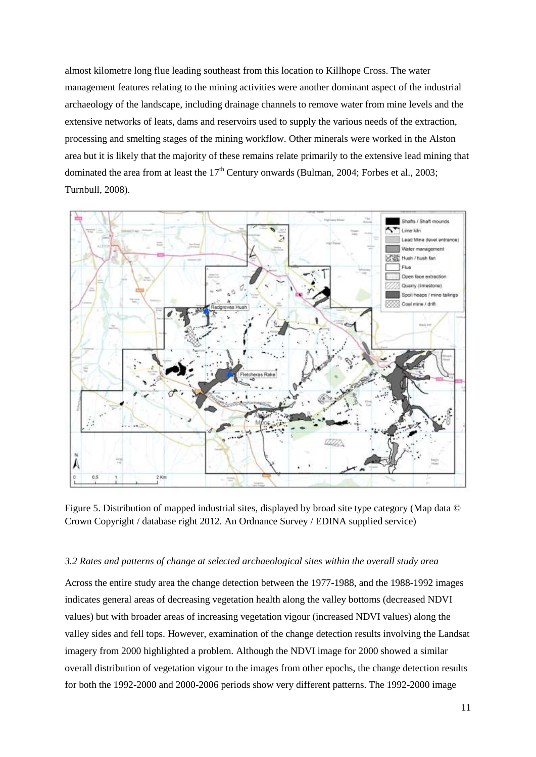almost kilometre long flue leading southeast from this location to Killhope Cross. The water management features relating to the mining activities were another dominant aspect of the industrial archaeology of the landscape, including drainage channels to remove water from mine levels and the extensive networks of leats, dams and reservoirs used to supply the various needs of the extraction, processing and smelting stages of the mining workflow. Other minerals were worked in the Alston area but it is likely that the majority of these remains relate primarily to the extensive lead mining that dominated the area from at least the  $17<sup>th</sup>$  Century onwards (Bulman, 2004; Forbes et al., 2003; Turnbull, 2008).



Figure 5. Distribution of mapped industrial sites, displayed by broad site type category (Map data © Crown Copyright / database right 2012. An Ordnance Survey / EDINA supplied service)

#### *3.2 Rates and patterns of change at selected archaeological sites within the overall study area*

Across the entire study area the change detection between the 1977-1988, and the 1988-1992 images indicates general areas of decreasing vegetation health along the valley bottoms (decreased NDVI values) but with broader areas of increasing vegetation vigour (increased NDVI values) along the valley sides and fell tops. However, examination of the change detection results involving the Landsat imagery from 2000 highlighted a problem. Although the NDVI image for 2000 showed a similar overall distribution of vegetation vigour to the images from other epochs, the change detection results for both the 1992-2000 and 2000-2006 periods show very different patterns. The 1992-2000 image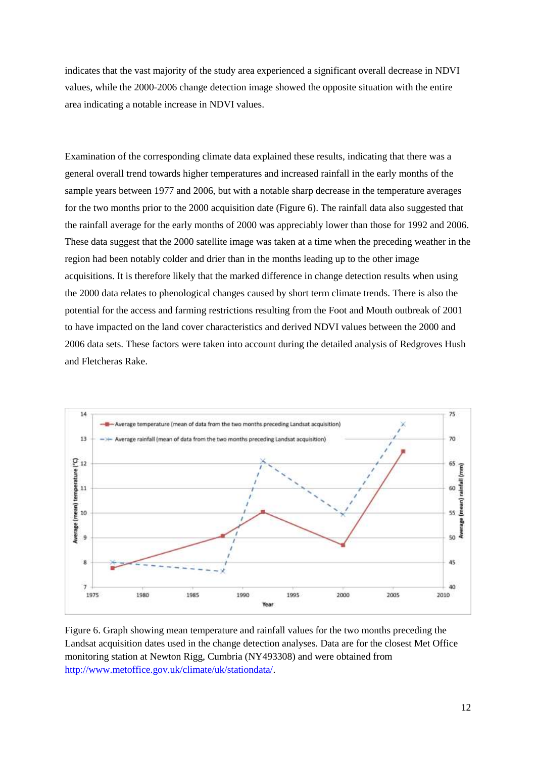indicates that the vast majority of the study area experienced a significant overall decrease in NDVI values, while the 2000-2006 change detection image showed the opposite situation with the entire area indicating a notable increase in NDVI values.

Examination of the corresponding climate data explained these results, indicating that there was a general overall trend towards higher temperatures and increased rainfall in the early months of the sample years between 1977 and 2006, but with a notable sharp decrease in the temperature averages for the two months prior to the 2000 acquisition date (Figure 6). The rainfall data also suggested that the rainfall average for the early months of 2000 was appreciably lower than those for 1992 and 2006. These data suggest that the 2000 satellite image was taken at a time when the preceding weather in the region had been notably colder and drier than in the months leading up to the other image acquisitions. It is therefore likely that the marked difference in change detection results when using the 2000 data relates to phenological changes caused by short term climate trends. There is also the potential for the access and farming restrictions resulting from the Foot and Mouth outbreak of 2001 to have impacted on the land cover characteristics and derived NDVI values between the 2000 and 2006 data sets. These factors were taken into account during the detailed analysis of Redgroves Hush and Fletcheras Rake.



Figure 6. Graph showing mean temperature and rainfall values for the two months preceding the Landsat acquisition dates used in the change detection analyses. Data are for the closest Met Office monitoring station at Newton Rigg, Cumbria (NY493308) and were obtained from [http://www.metoffice.gov.uk/climate/uk/stationdata/.](http://www.metoffice.gov.uk/climate/uk/stationdata/)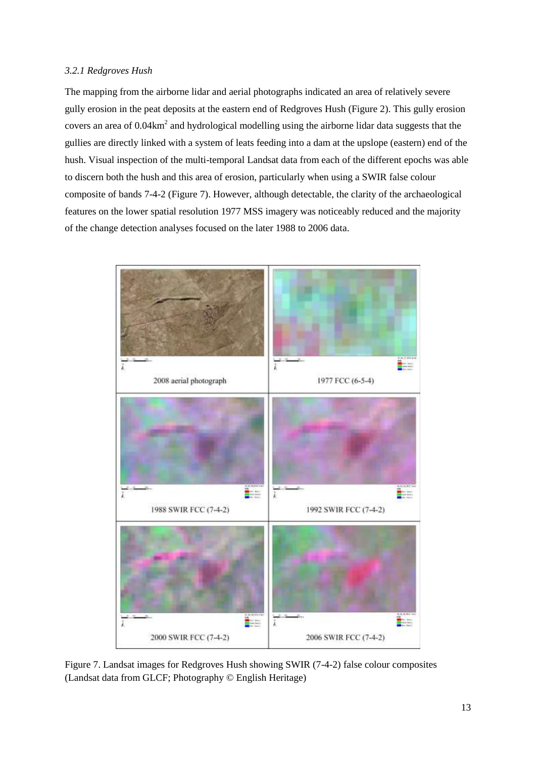## *3.2.1 Redgroves Hush*

The mapping from the airborne lidar and aerial photographs indicated an area of relatively severe gully erosion in the peat deposits at the eastern end of Redgroves Hush (Figure 2). This gully erosion covers an area of  $0.04 \text{km}^2$  and hydrological modelling using the airborne lidar data suggests that the gullies are directly linked with a system of leats feeding into a dam at the upslope (eastern) end of the hush. Visual inspection of the multi-temporal Landsat data from each of the different epochs was able to discern both the hush and this area of erosion, particularly when using a SWIR false colour composite of bands 7-4-2 (Figure 7). However, although detectable, the clarity of the archaeological features on the lower spatial resolution 1977 MSS imagery was noticeably reduced and the majority of the change detection analyses focused on the later 1988 to 2006 data.



Figure 7. Landsat images for Redgroves Hush showing SWIR (7-4-2) false colour composites (Landsat data from GLCF; Photography © English Heritage)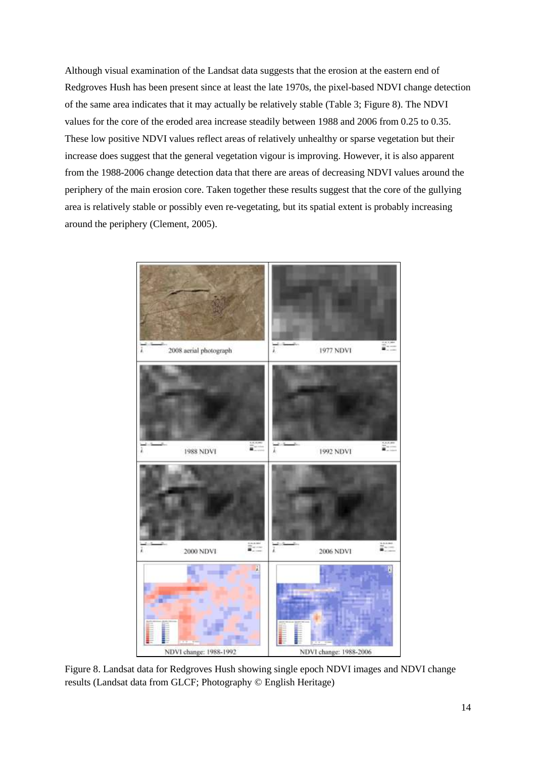Although visual examination of the Landsat data suggests that the erosion at the eastern end of Redgroves Hush has been present since at least the late 1970s, the pixel-based NDVI change detection of the same area indicates that it may actually be relatively stable (Table 3; Figure 8). The NDVI values for the core of the eroded area increase steadily between 1988 and 2006 from 0.25 to 0.35. These low positive NDVI values reflect areas of relatively unhealthy or sparse vegetation but their increase does suggest that the general vegetation vigour is improving. However, it is also apparent from the 1988-2006 change detection data that there are areas of decreasing NDVI values around the periphery of the main erosion core. Taken together these results suggest that the core of the gullying area is relatively stable or possibly even re-vegetating, but its spatial extent is probably increasing around the periphery (Clement, 2005).



Figure 8. Landsat data for Redgroves Hush showing single epoch NDVI images and NDVI change results (Landsat data from GLCF; Photography © English Heritage)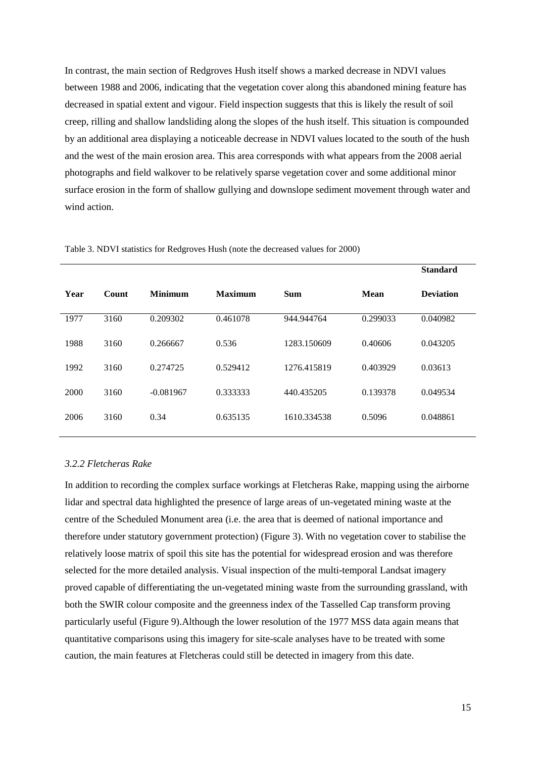In contrast, the main section of Redgroves Hush itself shows a marked decrease in NDVI values between 1988 and 2006, indicating that the vegetation cover along this abandoned mining feature has decreased in spatial extent and vigour. Field inspection suggests that this is likely the result of soil creep, rilling and shallow landsliding along the slopes of the hush itself. This situation is compounded by an additional area displaying a noticeable decrease in NDVI values located to the south of the hush and the west of the main erosion area. This area corresponds with what appears from the 2008 aerial photographs and field walkover to be relatively sparse vegetation cover and some additional minor surface erosion in the form of shallow gullying and downslope sediment movement through water and wind action.

|      |       |                |                |             |             | <b>Standard</b>  |
|------|-------|----------------|----------------|-------------|-------------|------------------|
| Year | Count | <b>Minimum</b> | <b>Maximum</b> | <b>Sum</b>  | <b>Mean</b> | <b>Deviation</b> |
| 1977 | 3160  | 0.209302       | 0.461078       | 944.944764  | 0.299033    | 0.040982         |
| 1988 | 3160  | 0.266667       | 0.536          | 1283.150609 | 0.40606     | 0.043205         |
| 1992 | 3160  | 0.274725       | 0.529412       | 1276.415819 | 0.403929    | 0.03613          |
| 2000 | 3160  | $-0.081967$    | 0.333333       | 440.435205  | 0.139378    | 0.049534         |
| 2006 | 3160  | 0.34           | 0.635135       | 1610.334538 | 0.5096      | 0.048861         |
|      |       |                |                |             |             |                  |

Table 3. NDVI statistics for Redgroves Hush (note the decreased values for 2000)

#### *3.2.2 Fletcheras Rake*

In addition to recording the complex surface workings at Fletcheras Rake, mapping using the airborne lidar and spectral data highlighted the presence of large areas of un-vegetated mining waste at the centre of the Scheduled Monument area (i.e. the area that is deemed of national importance and therefore under statutory government protection) (Figure 3). With no vegetation cover to stabilise the relatively loose matrix of spoil this site has the potential for widespread erosion and was therefore selected for the more detailed analysis. Visual inspection of the multi-temporal Landsat imagery proved capable of differentiating the un-vegetated mining waste from the surrounding grassland, with both the SWIR colour composite and the greenness index of the Tasselled Cap transform proving particularly useful (Figure 9).Although the lower resolution of the 1977 MSS data again means that quantitative comparisons using this imagery for site-scale analyses have to be treated with some caution, the main features at Fletcheras could still be detected in imagery from this date.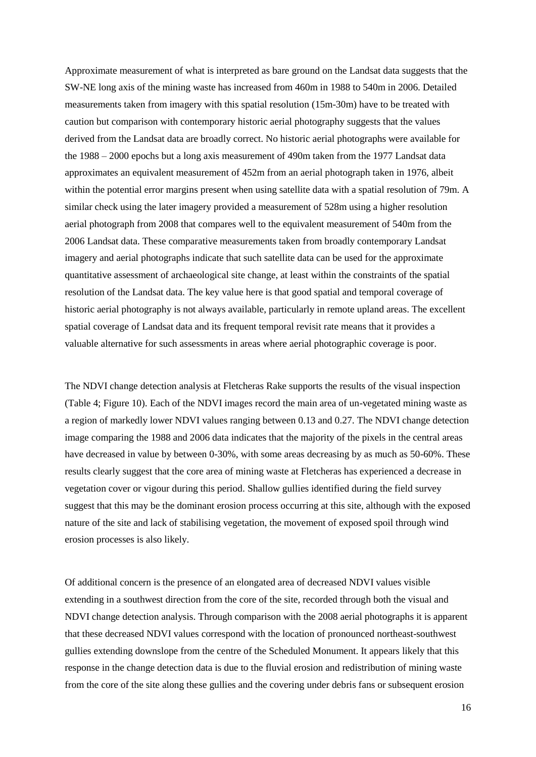Approximate measurement of what is interpreted as bare ground on the Landsat data suggests that the SW-NE long axis of the mining waste has increased from 460m in 1988 to 540m in 2006. Detailed measurements taken from imagery with this spatial resolution (15m-30m) have to be treated with caution but comparison with contemporary historic aerial photography suggests that the values derived from the Landsat data are broadly correct. No historic aerial photographs were available for the 1988 – 2000 epochs but a long axis measurement of 490m taken from the 1977 Landsat data approximates an equivalent measurement of 452m from an aerial photograph taken in 1976, albeit within the potential error margins present when using satellite data with a spatial resolution of 79m. A similar check using the later imagery provided a measurement of 528m using a higher resolution aerial photograph from 2008 that compares well to the equivalent measurement of 540m from the 2006 Landsat data. These comparative measurements taken from broadly contemporary Landsat imagery and aerial photographs indicate that such satellite data can be used for the approximate quantitative assessment of archaeological site change, at least within the constraints of the spatial resolution of the Landsat data. The key value here is that good spatial and temporal coverage of historic aerial photography is not always available, particularly in remote upland areas. The excellent spatial coverage of Landsat data and its frequent temporal revisit rate means that it provides a valuable alternative for such assessments in areas where aerial photographic coverage is poor.

The NDVI change detection analysis at Fletcheras Rake supports the results of the visual inspection (Table 4; Figure 10). Each of the NDVI images record the main area of un-vegetated mining waste as a region of markedly lower NDVI values ranging between 0.13 and 0.27. The NDVI change detection image comparing the 1988 and 2006 data indicates that the majority of the pixels in the central areas have decreased in value by between 0-30%, with some areas decreasing by as much as 50-60%. These results clearly suggest that the core area of mining waste at Fletcheras has experienced a decrease in vegetation cover or vigour during this period. Shallow gullies identified during the field survey suggest that this may be the dominant erosion process occurring at this site, although with the exposed nature of the site and lack of stabilising vegetation, the movement of exposed spoil through wind erosion processes is also likely.

Of additional concern is the presence of an elongated area of decreased NDVI values visible extending in a southwest direction from the core of the site, recorded through both the visual and NDVI change detection analysis. Through comparison with the 2008 aerial photographs it is apparent that these decreased NDVI values correspond with the location of pronounced northeast-southwest gullies extending downslope from the centre of the Scheduled Monument. It appears likely that this response in the change detection data is due to the fluvial erosion and redistribution of mining waste from the core of the site along these gullies and the covering under debris fans or subsequent erosion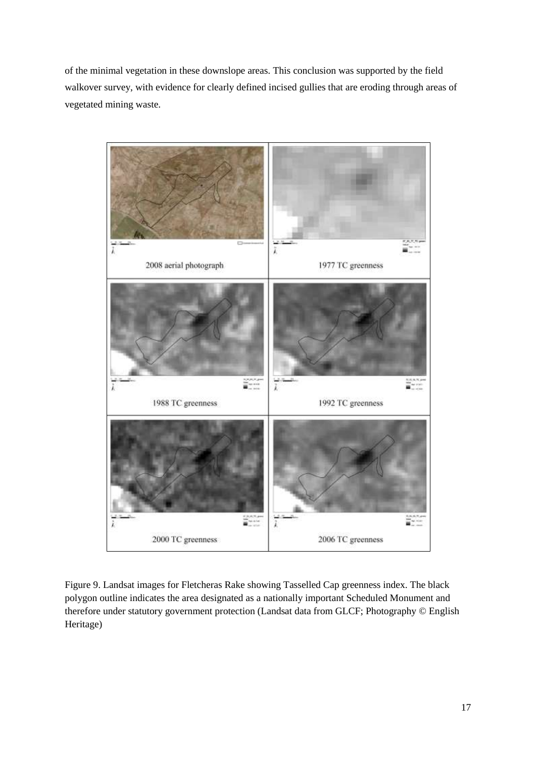of the minimal vegetation in these downslope areas. This conclusion was supported by the field walkover survey, with evidence for clearly defined incised gullies that are eroding through areas of vegetated mining waste.



Figure 9. Landsat images for Fletcheras Rake showing Tasselled Cap greenness index. The black polygon outline indicates the area designated as a nationally important Scheduled Monument and therefore under statutory government protection (Landsat data from GLCF; Photography © English Heritage)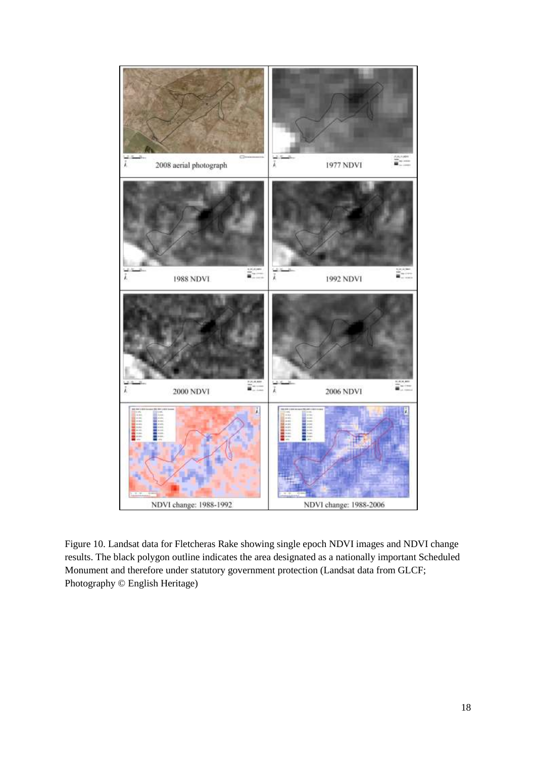

Figure 10. Landsat data for Fletcheras Rake showing single epoch NDVI images and NDVI change results. The black polygon outline indicates the area designated as a nationally important Scheduled Monument and therefore under statutory government protection (Landsat data from GLCF; Photography © English Heritage)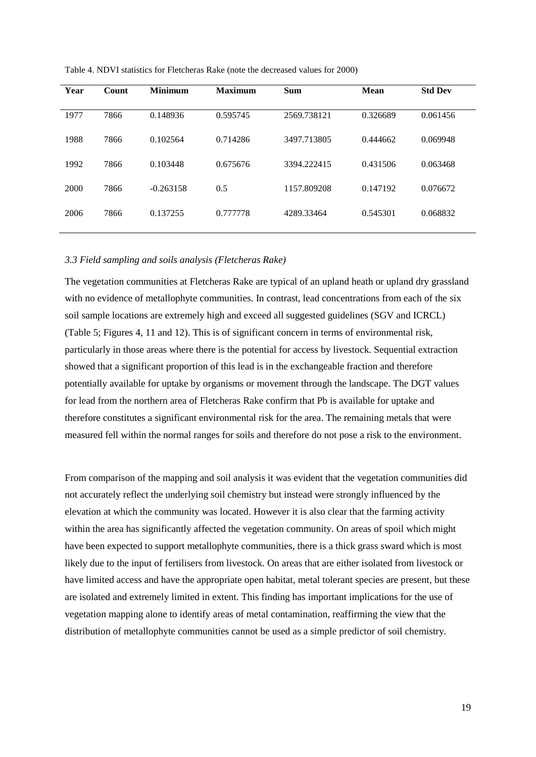| Year | Count | <b>Minimum</b> | <b>Maximum</b> | <b>Sum</b>  | <b>Mean</b> | <b>Std Dev</b> |
|------|-------|----------------|----------------|-------------|-------------|----------------|
| 1977 | 7866  | 0.148936       | 0.595745       | 2569.738121 | 0.326689    | 0.061456       |
| 1988 | 7866  | 0.102564       | 0.714286       | 3497.713805 | 0.444662    | 0.069948       |
| 1992 | 7866  | 0.103448       | 0.675676       | 3394.222415 | 0.431506    | 0.063468       |
| 2000 | 7866  | $-0.263158$    | 0.5            | 1157.809208 | 0.147192    | 0.076672       |
| 2006 | 7866  | 0.137255       | 0.777778       | 4289.33464  | 0.545301    | 0.068832       |

Table 4. NDVI statistics for Fletcheras Rake (note the decreased values for 2000)

## *3.3 Field sampling and soils analysis (Fletcheras Rake)*

The vegetation communities at Fletcheras Rake are typical of an upland heath or upland dry grassland with no evidence of metallophyte communities. In contrast, lead concentrations from each of the six soil sample locations are extremely high and exceed all suggested guidelines (SGV and ICRCL) (Table 5; Figures 4, 11 and 12). This is of significant concern in terms of environmental risk, particularly in those areas where there is the potential for access by livestock. Sequential extraction showed that a significant proportion of this lead is in the exchangeable fraction and therefore potentially available for uptake by organisms or movement through the landscape. The DGT values for lead from the northern area of Fletcheras Rake confirm that Pb is available for uptake and therefore constitutes a significant environmental risk for the area. The remaining metals that were measured fell within the normal ranges for soils and therefore do not pose a risk to the environment.

From comparison of the mapping and soil analysis it was evident that the vegetation communities did not accurately reflect the underlying soil chemistry but instead were strongly influenced by the elevation at which the community was located. However it is also clear that the farming activity within the area has significantly affected the vegetation community. On areas of spoil which might have been expected to support metallophyte communities, there is a thick grass sward which is most likely due to the input of fertilisers from livestock. On areas that are either isolated from livestock or have limited access and have the appropriate open habitat, metal tolerant species are present, but these are isolated and extremely limited in extent. This finding has important implications for the use of vegetation mapping alone to identify areas of metal contamination, reaffirming the view that the distribution of metallophyte communities cannot be used as a simple predictor of soil chemistry.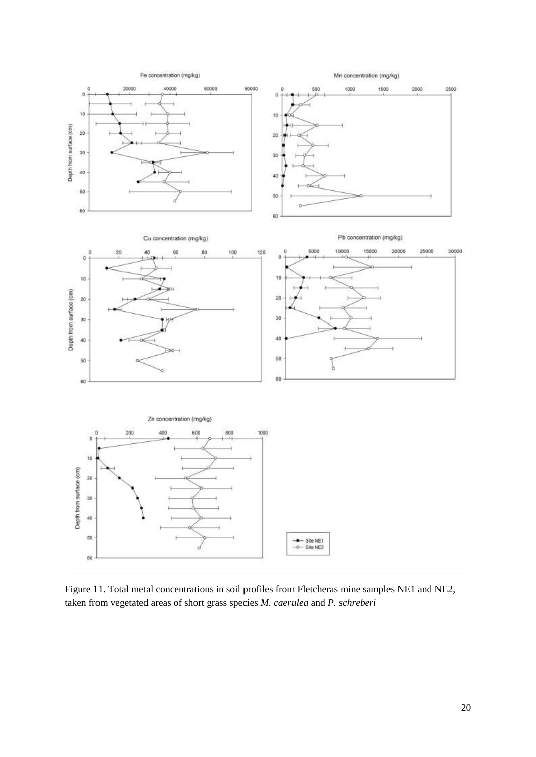

Figure 11. Total metal concentrations in soil profiles from Fletcheras mine samples NE1 and NE2, taken from vegetated areas of short grass species *M. caerulea* and *P. schreberi*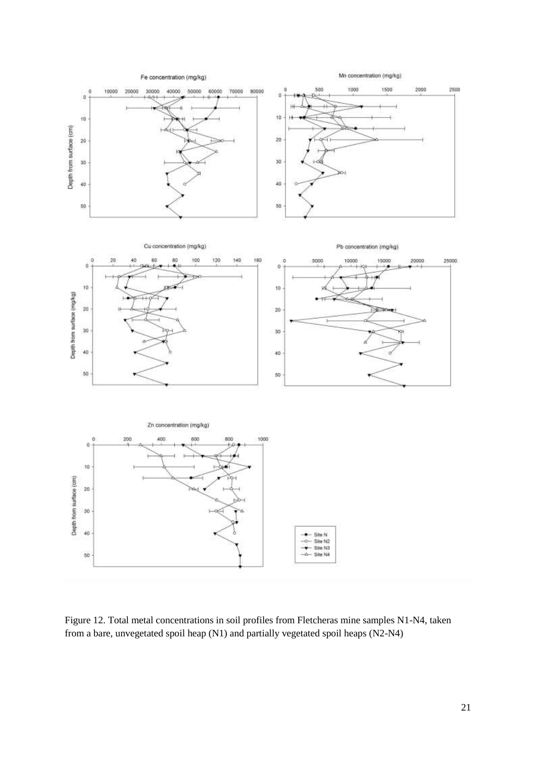

Figure 12. Total metal concentrations in soil profiles from Fletcheras mine samples N1-N4, taken from a bare, unvegetated spoil heap (N1) and partially vegetated spoil heaps (N2-N4)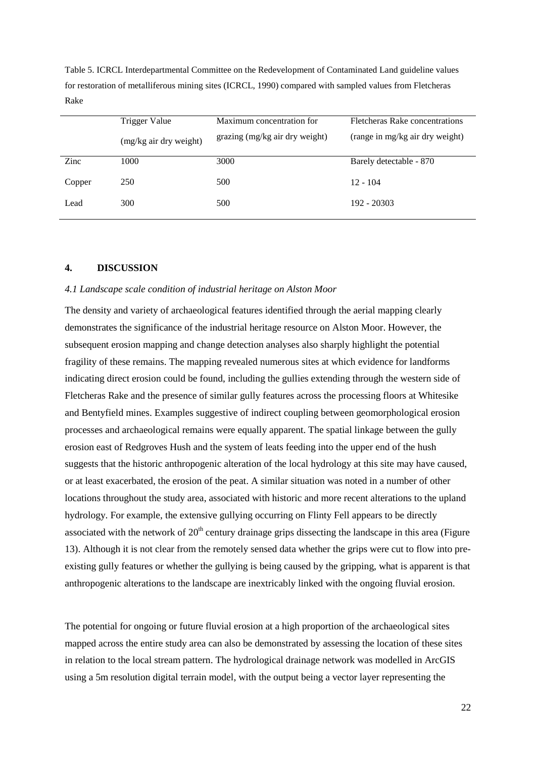Table 5. ICRCL Interdepartmental Committee on the Redevelopment of Contaminated Land guideline values for restoration of metalliferous mining sites (ICRCL, 1990) compared with sampled values from Fletcheras Rake

|        | Trigger Value          | Maximum concentration for      | Fletcheras Rake concentrations  |  |
|--------|------------------------|--------------------------------|---------------------------------|--|
|        | (mg/kg air dry weight) | grazing (mg/kg air dry weight) | (range in mg/kg air dry weight) |  |
| Zinc   | 1000                   | 3000                           | Barely detectable - 870         |  |
| Copper | 250                    | 500                            | $12 - 104$                      |  |
| Lead   | 300                    | 500                            | 192 - 20303                     |  |
|        |                        |                                |                                 |  |

## **4. DISCUSSION**

#### *4.1 Landscape scale condition of industrial heritage on Alston Moor*

The density and variety of archaeological features identified through the aerial mapping clearly demonstrates the significance of the industrial heritage resource on Alston Moor. However, the subsequent erosion mapping and change detection analyses also sharply highlight the potential fragility of these remains. The mapping revealed numerous sites at which evidence for landforms indicating direct erosion could be found, including the gullies extending through the western side of Fletcheras Rake and the presence of similar gully features across the processing floors at Whitesike and Bentyfield mines. Examples suggestive of indirect coupling between geomorphological erosion processes and archaeological remains were equally apparent. The spatial linkage between the gully erosion east of Redgroves Hush and the system of leats feeding into the upper end of the hush suggests that the historic anthropogenic alteration of the local hydrology at this site may have caused, or at least exacerbated, the erosion of the peat. A similar situation was noted in a number of other locations throughout the study area, associated with historic and more recent alterations to the upland hydrology. For example, the extensive gullying occurring on Flinty Fell appears to be directly associated with the network of  $20<sup>th</sup>$  century drainage grips dissecting the landscape in this area (Figure 13). Although it is not clear from the remotely sensed data whether the grips were cut to flow into preexisting gully features or whether the gullying is being caused by the gripping, what is apparent is that anthropogenic alterations to the landscape are inextricably linked with the ongoing fluvial erosion.

The potential for ongoing or future fluvial erosion at a high proportion of the archaeological sites mapped across the entire study area can also be demonstrated by assessing the location of these sites in relation to the local stream pattern. The hydrological drainage network was modelled in ArcGIS using a 5m resolution digital terrain model, with the output being a vector layer representing the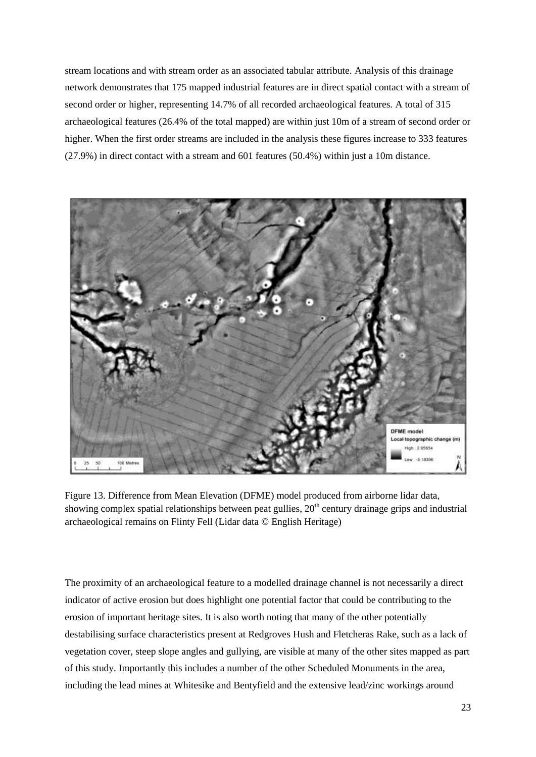stream locations and with stream order as an associated tabular attribute. Analysis of this drainage network demonstrates that 175 mapped industrial features are in direct spatial contact with a stream of second order or higher, representing 14.7% of all recorded archaeological features. A total of 315 archaeological features (26.4% of the total mapped) are within just 10m of a stream of second order or higher. When the first order streams are included in the analysis these figures increase to 333 features (27.9%) in direct contact with a stream and 601 features (50.4%) within just a 10m distance.



Figure 13. Difference from Mean Elevation (DFME) model produced from airborne lidar data, showing complex spatial relationships between peat gullies,  $20<sup>th</sup>$  century drainage grips and industrial archaeological remains on Flinty Fell (Lidar data © English Heritage)

The proximity of an archaeological feature to a modelled drainage channel is not necessarily a direct indicator of active erosion but does highlight one potential factor that could be contributing to the erosion of important heritage sites. It is also worth noting that many of the other potentially destabilising surface characteristics present at Redgroves Hush and Fletcheras Rake, such as a lack of vegetation cover, steep slope angles and gullying, are visible at many of the other sites mapped as part of this study. Importantly this includes a number of the other Scheduled Monuments in the area, including the lead mines at Whitesike and Bentyfield and the extensive lead/zinc workings around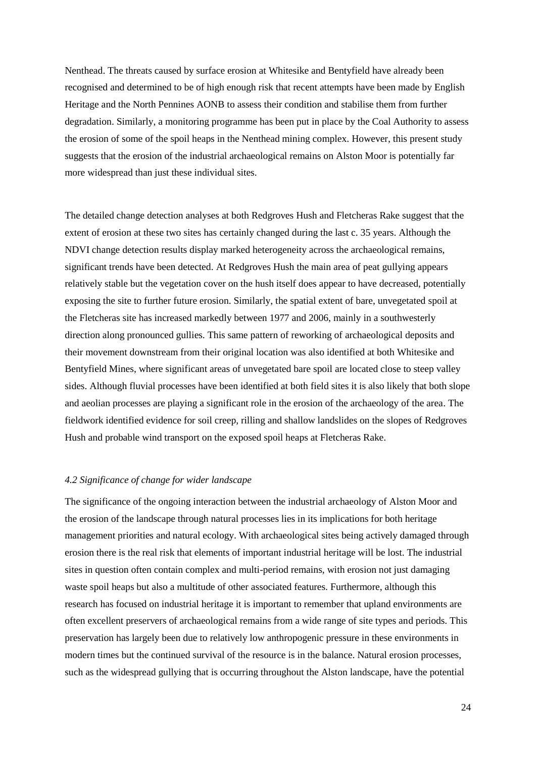Nenthead. The threats caused by surface erosion at Whitesike and Bentyfield have already been recognised and determined to be of high enough risk that recent attempts have been made by English Heritage and the North Pennines AONB to assess their condition and stabilise them from further degradation. Similarly, a monitoring programme has been put in place by the Coal Authority to assess the erosion of some of the spoil heaps in the Nenthead mining complex. However, this present study suggests that the erosion of the industrial archaeological remains on Alston Moor is potentially far more widespread than just these individual sites.

The detailed change detection analyses at both Redgroves Hush and Fletcheras Rake suggest that the extent of erosion at these two sites has certainly changed during the last c. 35 years. Although the NDVI change detection results display marked heterogeneity across the archaeological remains, significant trends have been detected. At Redgroves Hush the main area of peat gullying appears relatively stable but the vegetation cover on the hush itself does appear to have decreased, potentially exposing the site to further future erosion. Similarly, the spatial extent of bare, unvegetated spoil at the Fletcheras site has increased markedly between 1977 and 2006, mainly in a southwesterly direction along pronounced gullies. This same pattern of reworking of archaeological deposits and their movement downstream from their original location was also identified at both Whitesike and Bentyfield Mines, where significant areas of unvegetated bare spoil are located close to steep valley sides. Although fluvial processes have been identified at both field sites it is also likely that both slope and aeolian processes are playing a significant role in the erosion of the archaeology of the area. The fieldwork identified evidence for soil creep, rilling and shallow landslides on the slopes of Redgroves Hush and probable wind transport on the exposed spoil heaps at Fletcheras Rake.

## *4.2 Significance of change for wider landscape*

The significance of the ongoing interaction between the industrial archaeology of Alston Moor and the erosion of the landscape through natural processes lies in its implications for both heritage management priorities and natural ecology. With archaeological sites being actively damaged through erosion there is the real risk that elements of important industrial heritage will be lost. The industrial sites in question often contain complex and multi-period remains, with erosion not just damaging waste spoil heaps but also a multitude of other associated features. Furthermore, although this research has focused on industrial heritage it is important to remember that upland environments are often excellent preservers of archaeological remains from a wide range of site types and periods. This preservation has largely been due to relatively low anthropogenic pressure in these environments in modern times but the continued survival of the resource is in the balance. Natural erosion processes, such as the widespread gullying that is occurring throughout the Alston landscape, have the potential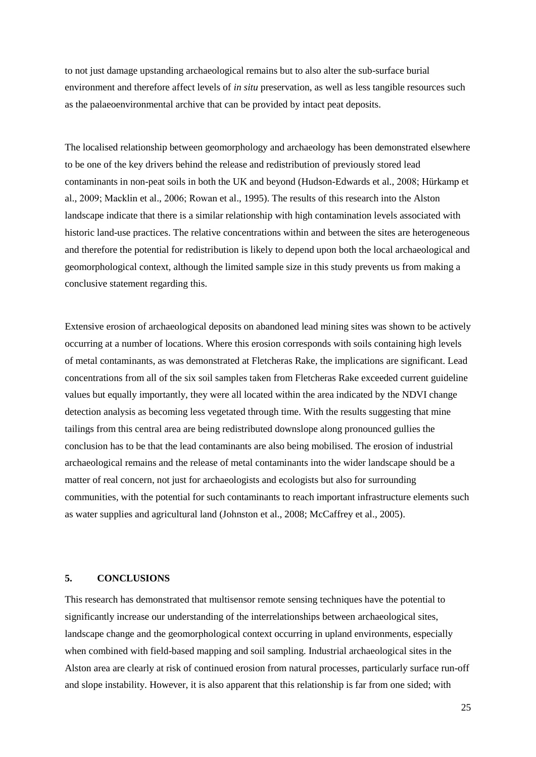to not just damage upstanding archaeological remains but to also alter the sub-surface burial environment and therefore affect levels of *in situ* preservation, as well as less tangible resources such as the palaeoenvironmental archive that can be provided by intact peat deposits.

The localised relationship between geomorphology and archaeology has been demonstrated elsewhere to be one of the key drivers behind the release and redistribution of previously stored lead contaminants in non-peat soils in both the UK and beyond (Hudson-Edwards et al., 2008; Hürkamp et al., 2009; Macklin et al., 2006; Rowan et al., 1995). The results of this research into the Alston landscape indicate that there is a similar relationship with high contamination levels associated with historic land-use practices. The relative concentrations within and between the sites are heterogeneous and therefore the potential for redistribution is likely to depend upon both the local archaeological and geomorphological context, although the limited sample size in this study prevents us from making a conclusive statement regarding this.

Extensive erosion of archaeological deposits on abandoned lead mining sites was shown to be actively occurring at a number of locations. Where this erosion corresponds with soils containing high levels of metal contaminants, as was demonstrated at Fletcheras Rake, the implications are significant. Lead concentrations from all of the six soil samples taken from Fletcheras Rake exceeded current guideline values but equally importantly, they were all located within the area indicated by the NDVI change detection analysis as becoming less vegetated through time. With the results suggesting that mine tailings from this central area are being redistributed downslope along pronounced gullies the conclusion has to be that the lead contaminants are also being mobilised. The erosion of industrial archaeological remains and the release of metal contaminants into the wider landscape should be a matter of real concern, not just for archaeologists and ecologists but also for surrounding communities, with the potential for such contaminants to reach important infrastructure elements such as water supplies and agricultural land (Johnston et al., 2008; McCaffrey et al., 2005).

## **5. CONCLUSIONS**

This research has demonstrated that multisensor remote sensing techniques have the potential to significantly increase our understanding of the interrelationships between archaeological sites, landscape change and the geomorphological context occurring in upland environments, especially when combined with field-based mapping and soil sampling. Industrial archaeological sites in the Alston area are clearly at risk of continued erosion from natural processes, particularly surface run-off and slope instability. However, it is also apparent that this relationship is far from one sided; with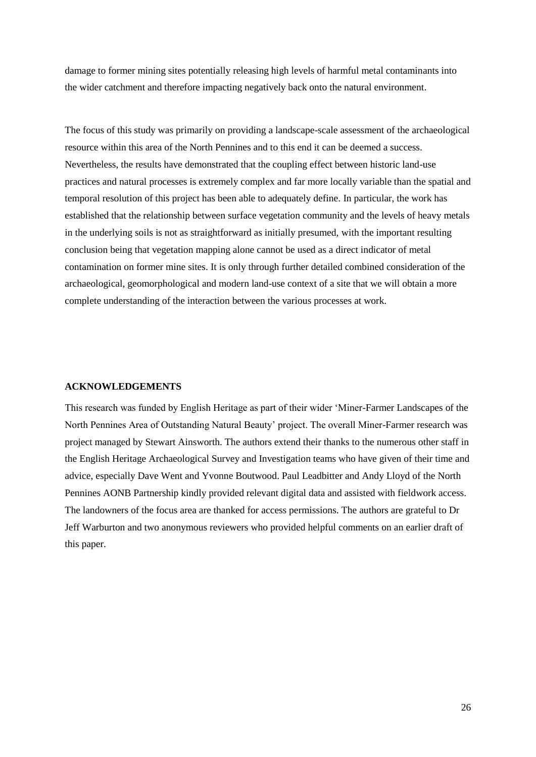damage to former mining sites potentially releasing high levels of harmful metal contaminants into the wider catchment and therefore impacting negatively back onto the natural environment.

The focus of this study was primarily on providing a landscape-scale assessment of the archaeological resource within this area of the North Pennines and to this end it can be deemed a success. Nevertheless, the results have demonstrated that the coupling effect between historic land-use practices and natural processes is extremely complex and far more locally variable than the spatial and temporal resolution of this project has been able to adequately define. In particular, the work has established that the relationship between surface vegetation community and the levels of heavy metals in the underlying soils is not as straightforward as initially presumed, with the important resulting conclusion being that vegetation mapping alone cannot be used as a direct indicator of metal contamination on former mine sites. It is only through further detailed combined consideration of the archaeological, geomorphological and modern land-use context of a site that we will obtain a more complete understanding of the interaction between the various processes at work.

### **ACKNOWLEDGEMENTS**

This research was funded by English Heritage as part of their wider 'Miner-Farmer Landscapes of the North Pennines Area of Outstanding Natural Beauty' project. The overall Miner-Farmer research was project managed by Stewart Ainsworth. The authors extend their thanks to the numerous other staff in the English Heritage Archaeological Survey and Investigation teams who have given of their time and advice, especially Dave Went and Yvonne Boutwood. Paul Leadbitter and Andy Lloyd of the North Pennines AONB Partnership kindly provided relevant digital data and assisted with fieldwork access. The landowners of the focus area are thanked for access permissions. The authors are grateful to Dr Jeff Warburton and two anonymous reviewers who provided helpful comments on an earlier draft of this paper.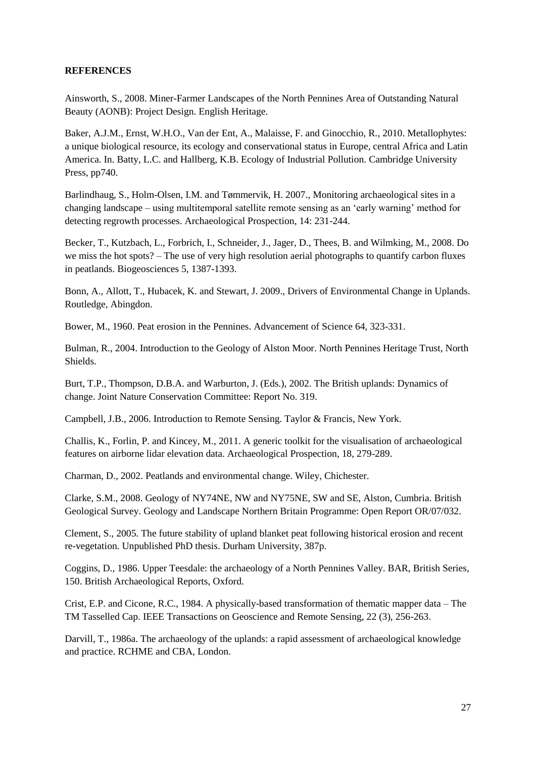## **REFERENCES**

Ainsworth, S., 2008. Miner-Farmer Landscapes of the North Pennines Area of Outstanding Natural Beauty (AONB): Project Design. English Heritage.

Baker, A.J.M., Ernst, W.H.O., Van der Ent, A., Malaisse, F. and Ginocchio, R., 2010. Metallophytes: a unique biological resource, its ecology and conservational status in Europe, central Africa and Latin America. In. Batty, L.C. and Hallberg, K.B. Ecology of Industrial Pollution. Cambridge University Press, pp740.

Barlindhaug, S., Holm-Olsen, I.M. and Tømmervik, H. 2007., Monitoring archaeological sites in a changing landscape – using multitemporal satellite remote sensing as an 'early warning' method for detecting regrowth processes. Archaeological Prospection, 14: 231-244.

Becker, T., Kutzbach, L., Forbrich, I., Schneider, J., Jager, D., Thees, B. and Wilmking, M., 2008. Do we miss the hot spots? – The use of very high resolution aerial photographs to quantify carbon fluxes in peatlands. Biogeosciences 5, 1387-1393.

Bonn, A., Allott, T., Hubacek, K. and Stewart, J. 2009., Drivers of Environmental Change in Uplands. Routledge, Abingdon.

Bower, M., 1960. Peat erosion in the Pennines. Advancement of Science 64, 323-331.

Bulman, R., 2004. Introduction to the Geology of Alston Moor. North Pennines Heritage Trust, North Shields.

Burt, T.P., Thompson, D.B.A. and Warburton, J. (Eds.), 2002. The British uplands: Dynamics of change. Joint Nature Conservation Committee: Report No. 319.

Campbell, J.B., 2006. Introduction to Remote Sensing. Taylor & Francis, New York.

Challis, K., Forlin, P. and Kincey, M., 2011. A generic toolkit for the visualisation of archaeological features on airborne lidar elevation data. Archaeological Prospection, 18, 279-289.

Charman, D., 2002. Peatlands and environmental change. Wiley, Chichester.

Clarke, S.M., 2008. Geology of NY74NE, NW and NY75NE, SW and SE, Alston, Cumbria. British Geological Survey. Geology and Landscape Northern Britain Programme: Open Report OR/07/032.

Clement, S., 2005. The future stability of upland blanket peat following historical erosion and recent re-vegetation. Unpublished PhD thesis. Durham University, 387p.

Coggins, D., 1986. Upper Teesdale: the archaeology of a North Pennines Valley. BAR, British Series, 150. British Archaeological Reports, Oxford.

Crist, E.P. and Cicone, R.C., 1984. A physically-based transformation of thematic mapper data – The TM Tasselled Cap. IEEE Transactions on Geoscience and Remote Sensing, 22 (3), 256-263.

Darvill, T., 1986a. The archaeology of the uplands: a rapid assessment of archaeological knowledge and practice. RCHME and CBA, London.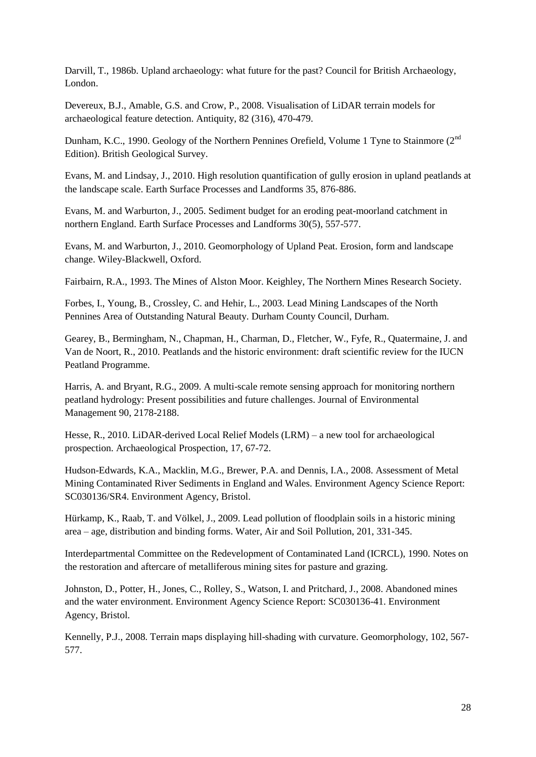Darvill, T., 1986b. Upland archaeology: what future for the past? Council for British Archaeology, London.

Devereux, B.J., Amable, G.S. and Crow, P., 2008. Visualisation of LiDAR terrain models for archaeological feature detection. Antiquity, 82 (316), 470-479.

Dunham, K.C., 1990. Geology of the Northern Pennines Orefield, Volume 1 Tyne to Stainmore (2<sup>nd</sup>) Edition). British Geological Survey.

Evans, M. and Lindsay, J., 2010. High resolution quantification of gully erosion in upland peatlands at the landscape scale. Earth Surface Processes and Landforms 35, 876-886.

Evans, M. and Warburton, J., 2005. Sediment budget for an eroding peat-moorland catchment in northern England. Earth Surface Processes and Landforms 30(5), 557-577.

Evans, M. and Warburton, J., 2010. Geomorphology of Upland Peat. Erosion, form and landscape change. Wiley-Blackwell, Oxford.

Fairbairn, R.A., 1993. The Mines of Alston Moor. Keighley, The Northern Mines Research Society.

Forbes, I., Young, B., Crossley, C. and Hehir, L., 2003. Lead Mining Landscapes of the North Pennines Area of Outstanding Natural Beauty. Durham County Council, Durham.

Gearey, B., Bermingham, N., Chapman, H., Charman, D., Fletcher, W., Fyfe, R., Quatermaine, J. and Van de Noort, R., 2010. Peatlands and the historic environment: draft scientific review for the IUCN Peatland Programme.

Harris, A. and Bryant, R.G., 2009. A multi-scale remote sensing approach for monitoring northern peatland hydrology: Present possibilities and future challenges. Journal of Environmental Management 90, 2178-2188.

Hesse, R., 2010. LiDAR-derived Local Relief Models (LRM) – a new tool for archaeological prospection. Archaeological Prospection, 17, 67-72.

Hudson-Edwards, K.A., Macklin, M.G., Brewer, P.A. and Dennis, I.A., 2008. Assessment of Metal Mining Contaminated River Sediments in England and Wales. Environment Agency Science Report: SC030136/SR4. Environment Agency, Bristol.

Hürkamp, K., Raab, T. and Völkel, J., 2009. Lead pollution of floodplain soils in a historic mining area – age, distribution and binding forms. Water, Air and Soil Pollution, 201, 331-345.

Interdepartmental Committee on the Redevelopment of Contaminated Land (ICRCL), 1990. Notes on the restoration and aftercare of metalliferous mining sites for pasture and grazing.

Johnston, D., Potter, H., Jones, C., Rolley, S., Watson, I. and Pritchard, J., 2008. Abandoned mines and the water environment. Environment Agency Science Report: SC030136-41. Environment Agency, Bristol.

Kennelly, P.J., 2008. Terrain maps displaying hill-shading with curvature. Geomorphology, 102, 567- 577.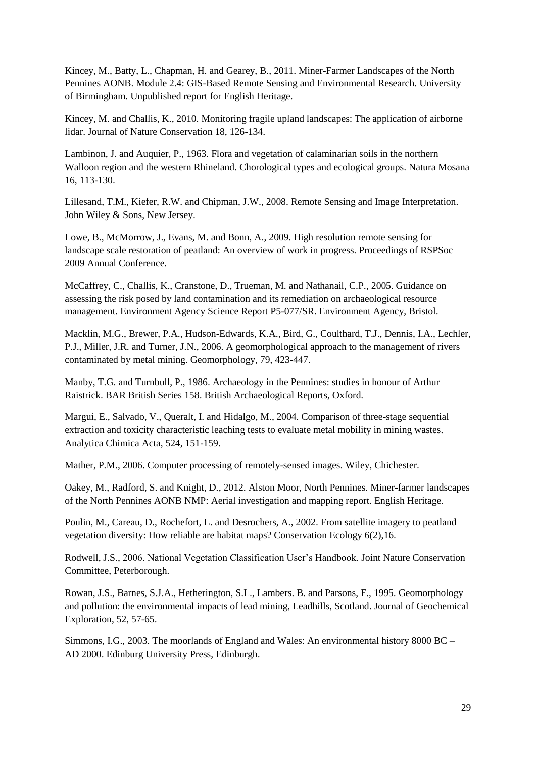Kincey, M., Batty, L., Chapman, H. and Gearey, B., 2011. Miner-Farmer Landscapes of the North Pennines AONB. Module 2.4: GIS-Based Remote Sensing and Environmental Research. University of Birmingham. Unpublished report for English Heritage.

Kincey, M. and Challis, K., 2010. Monitoring fragile upland landscapes: The application of airborne lidar. Journal of Nature Conservation 18, 126-134.

Lambinon, J. and Auquier, P., 1963. Flora and vegetation of calaminarian soils in the northern Walloon region and the western Rhineland. Chorological types and ecological groups. Natura Mosana 16, 113-130.

Lillesand, T.M., Kiefer, R.W. and Chipman, J.W., 2008. Remote Sensing and Image Interpretation. John Wiley & Sons, New Jersey.

Lowe, B., McMorrow, J., Evans, M. and Bonn, A., 2009. High resolution remote sensing for landscape scale restoration of peatland: An overview of work in progress. Proceedings of RSPSoc 2009 Annual Conference.

McCaffrey, C., Challis, K., Cranstone, D., Trueman, M. and Nathanail, C.P., 2005. Guidance on assessing the risk posed by land contamination and its remediation on archaeological resource management. Environment Agency Science Report P5-077/SR. Environment Agency, Bristol.

Macklin, M.G., Brewer, P.A., Hudson-Edwards, K.A., Bird, G., Coulthard, T.J., Dennis, I.A., Lechler, P.J., Miller, J.R. and Turner, J.N., 2006. A geomorphological approach to the management of rivers contaminated by metal mining. Geomorphology, 79, 423-447.

Manby, T.G. and Turnbull, P., 1986. Archaeology in the Pennines: studies in honour of Arthur Raistrick. BAR British Series 158. British Archaeological Reports, Oxford.

Margui, E., Salvado, V., Queralt, I. and Hidalgo, M., 2004. Comparison of three-stage sequential extraction and toxicity characteristic leaching tests to evaluate metal mobility in mining wastes. Analytica Chimica Acta, 524, 151-159.

Mather, P.M., 2006. Computer processing of remotely-sensed images. Wiley, Chichester.

Oakey, M., Radford, S. and Knight, D., 2012. Alston Moor, North Pennines. Miner-farmer landscapes of the North Pennines AONB NMP: Aerial investigation and mapping report. English Heritage.

Poulin, M., Careau, D., Rochefort, L. and Desrochers, A., 2002. From satellite imagery to peatland vegetation diversity: How reliable are habitat maps? Conservation Ecology 6(2),16.

Rodwell, J.S., 2006. National Vegetation Classification User's Handbook. Joint Nature Conservation Committee, Peterborough.

Rowan, J.S., Barnes, S.J.A., Hetherington, S.L., Lambers. B. and Parsons, F., 1995. Geomorphology and pollution: the environmental impacts of lead mining, Leadhills, Scotland. Journal of Geochemical Exploration, 52, 57-65.

Simmons, I.G., 2003. The moorlands of England and Wales: An environmental history 8000 BC – AD 2000. Edinburg University Press, Edinburgh.